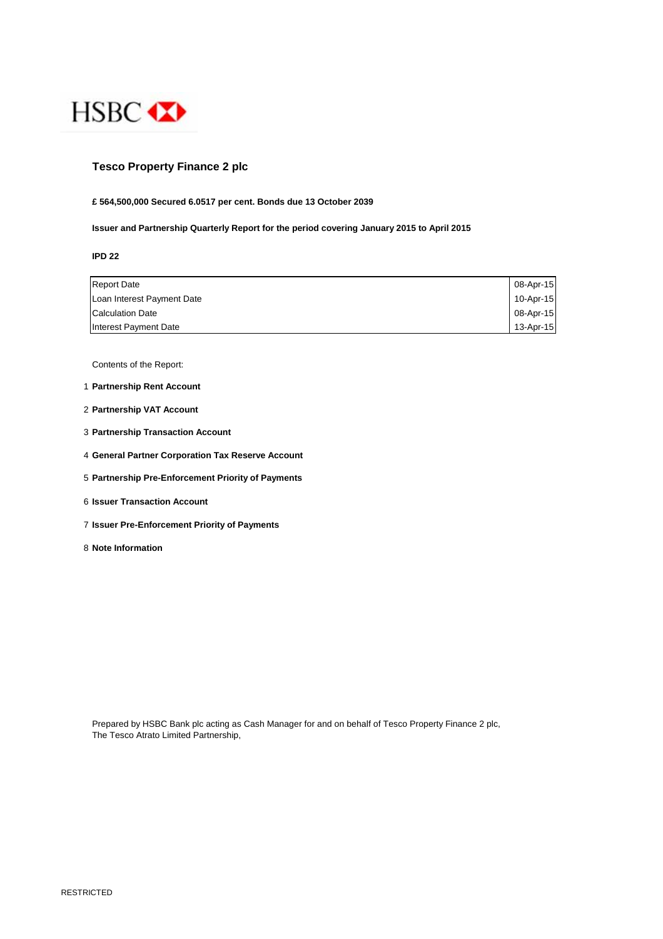

## **Tesco Property Finance 2 plc**

## **£ 564,500,000 Secured 6.0517 per cent. Bonds due 13 October 2039**

**Issuer and Partnership Quarterly Report for the period covering January 2015 to April 2015**

**IPD 22**

| <b>Report Date</b>         | 08-Apr-15 |
|----------------------------|-----------|
| Loan Interest Payment Date | 10-Apr-15 |
| <b>Calculation Date</b>    | 08-Apr-15 |
| Interest Payment Date      | 13-Apr-15 |

Contents of the Report:

- 1 **Partnership Rent Account**
- 2 **Partnership VAT Account**
- 3 **Partnership Transaction Account**
- 4 **General Partner Corporation Tax Reserve Account**
- 5 **Partnership Pre-Enforcement Priority of Payments**
- 6 **Issuer Transaction Account**
- 7 **Issuer Pre-Enforcement Priority of Payments**
- 8 **Note Information**

Prepared by HSBC Bank plc acting as Cash Manager for and on behalf of Tesco Property Finance 2 plc, The Tesco Atrato Limited Partnership,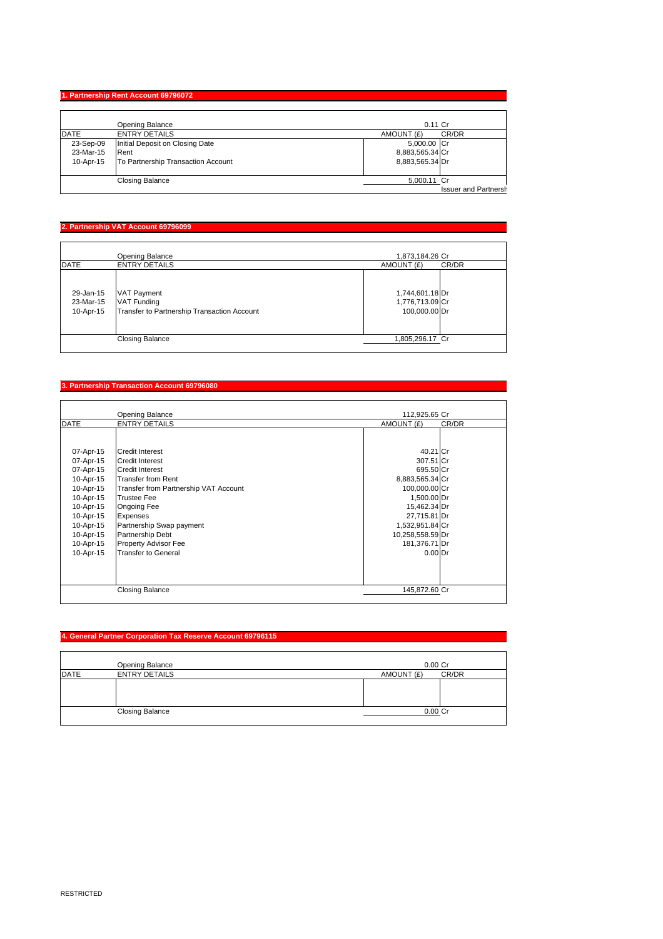## **1. Partnership Rent Account 69796072**

|             | Opening Balance                    | $0.11$ Cr                   |
|-------------|------------------------------------|-----------------------------|
| <b>DATE</b> | <b>ENTRY DETAILS</b>               | AMOUNT (£)<br>CR/DR         |
| 23-Sep-09   | Initial Deposit on Closing Date    | 5,000.00 Cr                 |
| 23-Mar-15   | Rent                               | 8,883,565.34 Cr             |
| 10-Apr-15   | To Partnership Transaction Account | 8,883,565.34 Dr             |
|             |                                    |                             |
|             | <b>Closing Balance</b>             | 5,000.11 Cr                 |
|             |                                    | <b>Issuer and Partnersh</b> |

## **2. Partnership VAT Account 69796099**

|                                     | Opening Balance                                                                         | 1,873,184.26 Cr                                     |
|-------------------------------------|-----------------------------------------------------------------------------------------|-----------------------------------------------------|
| <b>DATE</b>                         | <b>ENTRY DETAILS</b>                                                                    | CR/DR<br>AMOUNT (£)                                 |
| 29-Jan-15<br>23-Mar-15<br>10-Apr-15 | <b>VAT Payment</b><br><b>VAT Funding</b><br>Transfer to Partnership Transaction Account | 1,744,601.18 Dr<br>1,776,713.09 Cr<br>100,000.00 Dr |
|                                     | Closing Balance                                                                         | 1,805,296.17 Cr                                     |

#### **3. Partnership Transaction Account 69796080**

|                                                                                                                   | Opening Balance                                                                                                                                                                                                                         | 112,925.65 Cr                                                                                                                                        |       |
|-------------------------------------------------------------------------------------------------------------------|-----------------------------------------------------------------------------------------------------------------------------------------------------------------------------------------------------------------------------------------|------------------------------------------------------------------------------------------------------------------------------------------------------|-------|
| <b>DATE</b>                                                                                                       | <b>ENTRY DETAILS</b>                                                                                                                                                                                                                    | AMOUNT (£)                                                                                                                                           | CR/DR |
| 07-Apr-15<br>07-Apr-15<br>07-Apr-15                                                                               | <b>Credit Interest</b><br><b>Credit Interest</b><br><b>Credit Interest</b>                                                                                                                                                              | 40.21 Cr<br>307.51 Cr<br>695.50 Cr                                                                                                                   |       |
| 10-Apr-15<br>10-Apr-15<br>10-Apr-15<br>10-Apr-15<br>10-Apr-15<br>10-Apr-15<br>10-Apr-15<br>10-Apr-15<br>10-Apr-15 | <b>Transfer from Rent</b><br>Transfer from Partnership VAT Account<br><b>Trustee Fee</b><br>Ongoing Fee<br><b>Expenses</b><br>Partnership Swap payment<br><b>Partnership Debt</b><br>Property Advisor Fee<br><b>Transfer to General</b> | 8,883,565.34 Cr<br>100,000.00 Cr<br>1,500.00 Dr<br>15,462.34 Dr<br>27,715.81 Dr<br>1,532,951.84 Cr<br>10,258,558.59 Dr<br>181,376.71 Dr<br>$0.00$ Dr |       |
|                                                                                                                   | <b>Closing Balance</b>                                                                                                                                                                                                                  | 145,872.60 Cr                                                                                                                                        |       |

#### **4. General Partner Corporation Tax Reserve Account 69796115**

|             | Opening Balance        | $0.00C$ r           |
|-------------|------------------------|---------------------|
| <b>DATE</b> | <b>ENTRY DETAILS</b>   | CR/DR<br>AMOUNT (£) |
|             |                        |                     |
|             |                        |                     |
|             |                        |                     |
|             | <b>Closing Balance</b> | $0.00$ Cr           |
|             |                        |                     |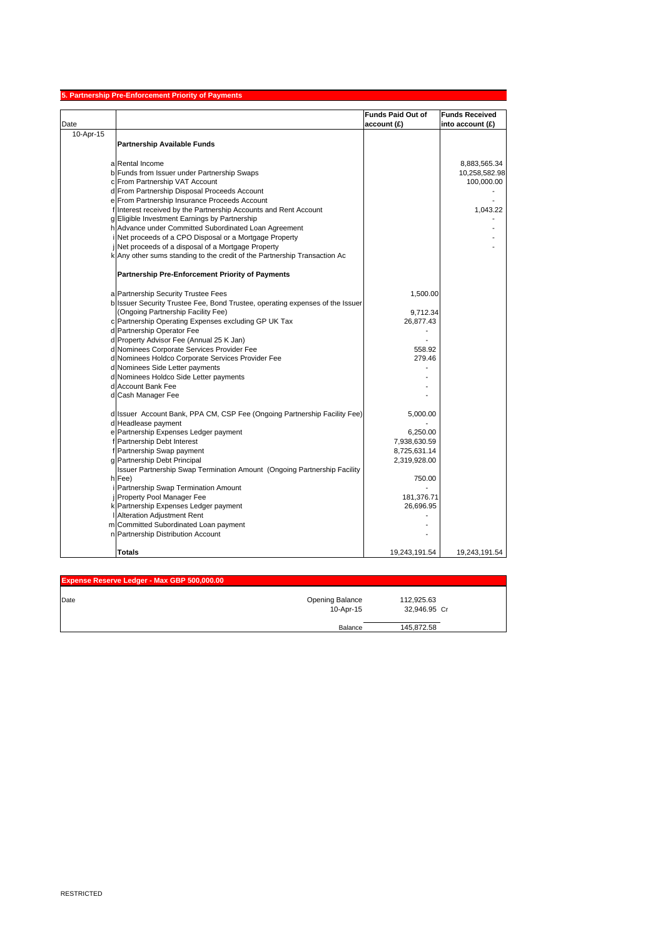| <b>Funds Paid Out of</b><br><b>Funds Received</b><br>account (£)<br>into account $(E)$<br>10-Apr-15<br><b>Partnership Available Funds</b><br>a Rental Income<br>8,883,565.34<br>b Funds from Issuer under Partnership Swaps<br>10,258,582.98<br>c From Partnership VAT Account<br>100,000.00<br>d From Partnership Disposal Proceeds Account<br>e From Partnership Insurance Proceeds Account<br>f Interest received by the Partnership Accounts and Rent Account<br>1,043.22<br>g Eligible Investment Earnings by Partnership<br>h Advance under Committed Subordinated Loan Agreement<br>Net proceeds of a CPO Disposal or a Mortgage Property<br>Net proceeds of a disposal of a Mortgage Property<br>k Any other sums standing to the credit of the Partnership Transaction Ac<br>Partnership Pre-Enforcement Priority of Payments<br>a Partnership Security Trustee Fees<br>1,500.00<br>b Issuer Security Trustee Fee, Bond Trustee, operating expenses of the Issuer<br>(Ongoing Partnership Facility Fee)<br>9,712.34<br>c Partnership Operating Expenses excluding GP UK Tax<br>26,877.43<br>d Partnership Operator Fee<br>d Property Advisor Fee (Annual 25 K Jan)<br>d Nominees Corporate Services Provider Fee<br>558.92<br>d Nominees Holdco Corporate Services Provider Fee<br>279.46<br>d Nominees Side Letter payments<br>d Nominees Holdco Side Letter payments<br>d Account Bank Fee<br>d Cash Manager Fee<br>d Issuer Account Bank, PPA CM, CSP Fee (Ongoing Partnership Facility Fee)<br>5,000.00<br>d Headlease payment<br>e Partnership Expenses Ledger payment<br>6,250.00<br>f Partnership Debt Interest<br>7,938,630.59<br>f Partnership Swap payment<br>8,725,631.14<br>g Partnership Debt Principal<br>2,319,928.00<br>Issuer Partnership Swap Termination Amount (Ongoing Partnership Facility<br>h Fee)<br>750.00<br>Partnership Swap Termination Amount<br>Property Pool Manager Fee<br>181,376.71<br>k Partnership Expenses Ledger payment<br>26,696.95<br>Alteration Adjustment Rent<br>m Committed Subordinated Loan payment<br>n Partnership Distribution Account |      | 5. Partnership Pre-Enforcement Priority of Payments |  |
|----------------------------------------------------------------------------------------------------------------------------------------------------------------------------------------------------------------------------------------------------------------------------------------------------------------------------------------------------------------------------------------------------------------------------------------------------------------------------------------------------------------------------------------------------------------------------------------------------------------------------------------------------------------------------------------------------------------------------------------------------------------------------------------------------------------------------------------------------------------------------------------------------------------------------------------------------------------------------------------------------------------------------------------------------------------------------------------------------------------------------------------------------------------------------------------------------------------------------------------------------------------------------------------------------------------------------------------------------------------------------------------------------------------------------------------------------------------------------------------------------------------------------------------------------------------------------------------------------------------------------------------------------------------------------------------------------------------------------------------------------------------------------------------------------------------------------------------------------------------------------------------------------------------------------------------------------------------------------------------------------------------------------------------------------------------------------------------------------|------|-----------------------------------------------------|--|
|                                                                                                                                                                                                                                                                                                                                                                                                                                                                                                                                                                                                                                                                                                                                                                                                                                                                                                                                                                                                                                                                                                                                                                                                                                                                                                                                                                                                                                                                                                                                                                                                                                                                                                                                                                                                                                                                                                                                                                                                                                                                                                    |      |                                                     |  |
|                                                                                                                                                                                                                                                                                                                                                                                                                                                                                                                                                                                                                                                                                                                                                                                                                                                                                                                                                                                                                                                                                                                                                                                                                                                                                                                                                                                                                                                                                                                                                                                                                                                                                                                                                                                                                                                                                                                                                                                                                                                                                                    | Date |                                                     |  |
|                                                                                                                                                                                                                                                                                                                                                                                                                                                                                                                                                                                                                                                                                                                                                                                                                                                                                                                                                                                                                                                                                                                                                                                                                                                                                                                                                                                                                                                                                                                                                                                                                                                                                                                                                                                                                                                                                                                                                                                                                                                                                                    |      |                                                     |  |
|                                                                                                                                                                                                                                                                                                                                                                                                                                                                                                                                                                                                                                                                                                                                                                                                                                                                                                                                                                                                                                                                                                                                                                                                                                                                                                                                                                                                                                                                                                                                                                                                                                                                                                                                                                                                                                                                                                                                                                                                                                                                                                    |      |                                                     |  |
|                                                                                                                                                                                                                                                                                                                                                                                                                                                                                                                                                                                                                                                                                                                                                                                                                                                                                                                                                                                                                                                                                                                                                                                                                                                                                                                                                                                                                                                                                                                                                                                                                                                                                                                                                                                                                                                                                                                                                                                                                                                                                                    |      |                                                     |  |
|                                                                                                                                                                                                                                                                                                                                                                                                                                                                                                                                                                                                                                                                                                                                                                                                                                                                                                                                                                                                                                                                                                                                                                                                                                                                                                                                                                                                                                                                                                                                                                                                                                                                                                                                                                                                                                                                                                                                                                                                                                                                                                    |      |                                                     |  |
|                                                                                                                                                                                                                                                                                                                                                                                                                                                                                                                                                                                                                                                                                                                                                                                                                                                                                                                                                                                                                                                                                                                                                                                                                                                                                                                                                                                                                                                                                                                                                                                                                                                                                                                                                                                                                                                                                                                                                                                                                                                                                                    |      |                                                     |  |
|                                                                                                                                                                                                                                                                                                                                                                                                                                                                                                                                                                                                                                                                                                                                                                                                                                                                                                                                                                                                                                                                                                                                                                                                                                                                                                                                                                                                                                                                                                                                                                                                                                                                                                                                                                                                                                                                                                                                                                                                                                                                                                    |      |                                                     |  |
|                                                                                                                                                                                                                                                                                                                                                                                                                                                                                                                                                                                                                                                                                                                                                                                                                                                                                                                                                                                                                                                                                                                                                                                                                                                                                                                                                                                                                                                                                                                                                                                                                                                                                                                                                                                                                                                                                                                                                                                                                                                                                                    |      |                                                     |  |
|                                                                                                                                                                                                                                                                                                                                                                                                                                                                                                                                                                                                                                                                                                                                                                                                                                                                                                                                                                                                                                                                                                                                                                                                                                                                                                                                                                                                                                                                                                                                                                                                                                                                                                                                                                                                                                                                                                                                                                                                                                                                                                    |      |                                                     |  |
|                                                                                                                                                                                                                                                                                                                                                                                                                                                                                                                                                                                                                                                                                                                                                                                                                                                                                                                                                                                                                                                                                                                                                                                                                                                                                                                                                                                                                                                                                                                                                                                                                                                                                                                                                                                                                                                                                                                                                                                                                                                                                                    |      |                                                     |  |
|                                                                                                                                                                                                                                                                                                                                                                                                                                                                                                                                                                                                                                                                                                                                                                                                                                                                                                                                                                                                                                                                                                                                                                                                                                                                                                                                                                                                                                                                                                                                                                                                                                                                                                                                                                                                                                                                                                                                                                                                                                                                                                    |      |                                                     |  |
|                                                                                                                                                                                                                                                                                                                                                                                                                                                                                                                                                                                                                                                                                                                                                                                                                                                                                                                                                                                                                                                                                                                                                                                                                                                                                                                                                                                                                                                                                                                                                                                                                                                                                                                                                                                                                                                                                                                                                                                                                                                                                                    |      |                                                     |  |
|                                                                                                                                                                                                                                                                                                                                                                                                                                                                                                                                                                                                                                                                                                                                                                                                                                                                                                                                                                                                                                                                                                                                                                                                                                                                                                                                                                                                                                                                                                                                                                                                                                                                                                                                                                                                                                                                                                                                                                                                                                                                                                    |      |                                                     |  |
|                                                                                                                                                                                                                                                                                                                                                                                                                                                                                                                                                                                                                                                                                                                                                                                                                                                                                                                                                                                                                                                                                                                                                                                                                                                                                                                                                                                                                                                                                                                                                                                                                                                                                                                                                                                                                                                                                                                                                                                                                                                                                                    |      |                                                     |  |
|                                                                                                                                                                                                                                                                                                                                                                                                                                                                                                                                                                                                                                                                                                                                                                                                                                                                                                                                                                                                                                                                                                                                                                                                                                                                                                                                                                                                                                                                                                                                                                                                                                                                                                                                                                                                                                                                                                                                                                                                                                                                                                    |      |                                                     |  |
|                                                                                                                                                                                                                                                                                                                                                                                                                                                                                                                                                                                                                                                                                                                                                                                                                                                                                                                                                                                                                                                                                                                                                                                                                                                                                                                                                                                                                                                                                                                                                                                                                                                                                                                                                                                                                                                                                                                                                                                                                                                                                                    |      |                                                     |  |
|                                                                                                                                                                                                                                                                                                                                                                                                                                                                                                                                                                                                                                                                                                                                                                                                                                                                                                                                                                                                                                                                                                                                                                                                                                                                                                                                                                                                                                                                                                                                                                                                                                                                                                                                                                                                                                                                                                                                                                                                                                                                                                    |      |                                                     |  |
|                                                                                                                                                                                                                                                                                                                                                                                                                                                                                                                                                                                                                                                                                                                                                                                                                                                                                                                                                                                                                                                                                                                                                                                                                                                                                                                                                                                                                                                                                                                                                                                                                                                                                                                                                                                                                                                                                                                                                                                                                                                                                                    |      |                                                     |  |
|                                                                                                                                                                                                                                                                                                                                                                                                                                                                                                                                                                                                                                                                                                                                                                                                                                                                                                                                                                                                                                                                                                                                                                                                                                                                                                                                                                                                                                                                                                                                                                                                                                                                                                                                                                                                                                                                                                                                                                                                                                                                                                    |      |                                                     |  |
|                                                                                                                                                                                                                                                                                                                                                                                                                                                                                                                                                                                                                                                                                                                                                                                                                                                                                                                                                                                                                                                                                                                                                                                                                                                                                                                                                                                                                                                                                                                                                                                                                                                                                                                                                                                                                                                                                                                                                                                                                                                                                                    |      |                                                     |  |
|                                                                                                                                                                                                                                                                                                                                                                                                                                                                                                                                                                                                                                                                                                                                                                                                                                                                                                                                                                                                                                                                                                                                                                                                                                                                                                                                                                                                                                                                                                                                                                                                                                                                                                                                                                                                                                                                                                                                                                                                                                                                                                    |      |                                                     |  |
|                                                                                                                                                                                                                                                                                                                                                                                                                                                                                                                                                                                                                                                                                                                                                                                                                                                                                                                                                                                                                                                                                                                                                                                                                                                                                                                                                                                                                                                                                                                                                                                                                                                                                                                                                                                                                                                                                                                                                                                                                                                                                                    |      |                                                     |  |
|                                                                                                                                                                                                                                                                                                                                                                                                                                                                                                                                                                                                                                                                                                                                                                                                                                                                                                                                                                                                                                                                                                                                                                                                                                                                                                                                                                                                                                                                                                                                                                                                                                                                                                                                                                                                                                                                                                                                                                                                                                                                                                    |      |                                                     |  |
|                                                                                                                                                                                                                                                                                                                                                                                                                                                                                                                                                                                                                                                                                                                                                                                                                                                                                                                                                                                                                                                                                                                                                                                                                                                                                                                                                                                                                                                                                                                                                                                                                                                                                                                                                                                                                                                                                                                                                                                                                                                                                                    |      |                                                     |  |
|                                                                                                                                                                                                                                                                                                                                                                                                                                                                                                                                                                                                                                                                                                                                                                                                                                                                                                                                                                                                                                                                                                                                                                                                                                                                                                                                                                                                                                                                                                                                                                                                                                                                                                                                                                                                                                                                                                                                                                                                                                                                                                    |      |                                                     |  |
|                                                                                                                                                                                                                                                                                                                                                                                                                                                                                                                                                                                                                                                                                                                                                                                                                                                                                                                                                                                                                                                                                                                                                                                                                                                                                                                                                                                                                                                                                                                                                                                                                                                                                                                                                                                                                                                                                                                                                                                                                                                                                                    |      |                                                     |  |
|                                                                                                                                                                                                                                                                                                                                                                                                                                                                                                                                                                                                                                                                                                                                                                                                                                                                                                                                                                                                                                                                                                                                                                                                                                                                                                                                                                                                                                                                                                                                                                                                                                                                                                                                                                                                                                                                                                                                                                                                                                                                                                    |      |                                                     |  |
|                                                                                                                                                                                                                                                                                                                                                                                                                                                                                                                                                                                                                                                                                                                                                                                                                                                                                                                                                                                                                                                                                                                                                                                                                                                                                                                                                                                                                                                                                                                                                                                                                                                                                                                                                                                                                                                                                                                                                                                                                                                                                                    |      |                                                     |  |
|                                                                                                                                                                                                                                                                                                                                                                                                                                                                                                                                                                                                                                                                                                                                                                                                                                                                                                                                                                                                                                                                                                                                                                                                                                                                                                                                                                                                                                                                                                                                                                                                                                                                                                                                                                                                                                                                                                                                                                                                                                                                                                    |      |                                                     |  |
|                                                                                                                                                                                                                                                                                                                                                                                                                                                                                                                                                                                                                                                                                                                                                                                                                                                                                                                                                                                                                                                                                                                                                                                                                                                                                                                                                                                                                                                                                                                                                                                                                                                                                                                                                                                                                                                                                                                                                                                                                                                                                                    |      |                                                     |  |
|                                                                                                                                                                                                                                                                                                                                                                                                                                                                                                                                                                                                                                                                                                                                                                                                                                                                                                                                                                                                                                                                                                                                                                                                                                                                                                                                                                                                                                                                                                                                                                                                                                                                                                                                                                                                                                                                                                                                                                                                                                                                                                    |      |                                                     |  |
|                                                                                                                                                                                                                                                                                                                                                                                                                                                                                                                                                                                                                                                                                                                                                                                                                                                                                                                                                                                                                                                                                                                                                                                                                                                                                                                                                                                                                                                                                                                                                                                                                                                                                                                                                                                                                                                                                                                                                                                                                                                                                                    |      |                                                     |  |
|                                                                                                                                                                                                                                                                                                                                                                                                                                                                                                                                                                                                                                                                                                                                                                                                                                                                                                                                                                                                                                                                                                                                                                                                                                                                                                                                                                                                                                                                                                                                                                                                                                                                                                                                                                                                                                                                                                                                                                                                                                                                                                    |      |                                                     |  |
|                                                                                                                                                                                                                                                                                                                                                                                                                                                                                                                                                                                                                                                                                                                                                                                                                                                                                                                                                                                                                                                                                                                                                                                                                                                                                                                                                                                                                                                                                                                                                                                                                                                                                                                                                                                                                                                                                                                                                                                                                                                                                                    |      |                                                     |  |
|                                                                                                                                                                                                                                                                                                                                                                                                                                                                                                                                                                                                                                                                                                                                                                                                                                                                                                                                                                                                                                                                                                                                                                                                                                                                                                                                                                                                                                                                                                                                                                                                                                                                                                                                                                                                                                                                                                                                                                                                                                                                                                    |      |                                                     |  |
|                                                                                                                                                                                                                                                                                                                                                                                                                                                                                                                                                                                                                                                                                                                                                                                                                                                                                                                                                                                                                                                                                                                                                                                                                                                                                                                                                                                                                                                                                                                                                                                                                                                                                                                                                                                                                                                                                                                                                                                                                                                                                                    |      |                                                     |  |
|                                                                                                                                                                                                                                                                                                                                                                                                                                                                                                                                                                                                                                                                                                                                                                                                                                                                                                                                                                                                                                                                                                                                                                                                                                                                                                                                                                                                                                                                                                                                                                                                                                                                                                                                                                                                                                                                                                                                                                                                                                                                                                    |      |                                                     |  |
|                                                                                                                                                                                                                                                                                                                                                                                                                                                                                                                                                                                                                                                                                                                                                                                                                                                                                                                                                                                                                                                                                                                                                                                                                                                                                                                                                                                                                                                                                                                                                                                                                                                                                                                                                                                                                                                                                                                                                                                                                                                                                                    |      |                                                     |  |
|                                                                                                                                                                                                                                                                                                                                                                                                                                                                                                                                                                                                                                                                                                                                                                                                                                                                                                                                                                                                                                                                                                                                                                                                                                                                                                                                                                                                                                                                                                                                                                                                                                                                                                                                                                                                                                                                                                                                                                                                                                                                                                    |      |                                                     |  |
|                                                                                                                                                                                                                                                                                                                                                                                                                                                                                                                                                                                                                                                                                                                                                                                                                                                                                                                                                                                                                                                                                                                                                                                                                                                                                                                                                                                                                                                                                                                                                                                                                                                                                                                                                                                                                                                                                                                                                                                                                                                                                                    |      |                                                     |  |
|                                                                                                                                                                                                                                                                                                                                                                                                                                                                                                                                                                                                                                                                                                                                                                                                                                                                                                                                                                                                                                                                                                                                                                                                                                                                                                                                                                                                                                                                                                                                                                                                                                                                                                                                                                                                                                                                                                                                                                                                                                                                                                    |      |                                                     |  |
|                                                                                                                                                                                                                                                                                                                                                                                                                                                                                                                                                                                                                                                                                                                                                                                                                                                                                                                                                                                                                                                                                                                                                                                                                                                                                                                                                                                                                                                                                                                                                                                                                                                                                                                                                                                                                                                                                                                                                                                                                                                                                                    |      |                                                     |  |
|                                                                                                                                                                                                                                                                                                                                                                                                                                                                                                                                                                                                                                                                                                                                                                                                                                                                                                                                                                                                                                                                                                                                                                                                                                                                                                                                                                                                                                                                                                                                                                                                                                                                                                                                                                                                                                                                                                                                                                                                                                                                                                    |      |                                                     |  |
| Totals<br>19,243,191.54<br>19,243,191.54                                                                                                                                                                                                                                                                                                                                                                                                                                                                                                                                                                                                                                                                                                                                                                                                                                                                                                                                                                                                                                                                                                                                                                                                                                                                                                                                                                                                                                                                                                                                                                                                                                                                                                                                                                                                                                                                                                                                                                                                                                                           |      |                                                     |  |

| Expense Reserve Ledger - Max GBP 500,000.00 |                 |              |  |
|---------------------------------------------|-----------------|--------------|--|
| Date                                        | Opening Balance | 112,925.63   |  |
|                                             | 10-Apr-15       | 32,946.95 Cr |  |
|                                             | Balance         | 145.872.58   |  |

# **RESTRICTED**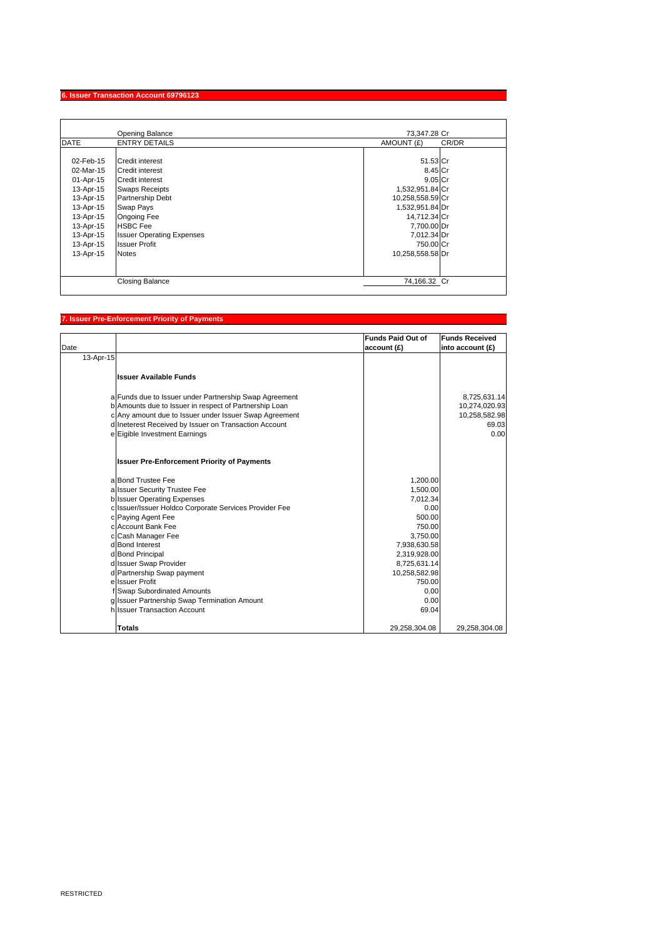## **6. Issuer Transaction Account 69796123**

|                                                                                                                                             | <b>Opening Balance</b>                                                                                                                                                                                                                             | 73.347.28 Cr                                                                                                                                                              |       |
|---------------------------------------------------------------------------------------------------------------------------------------------|----------------------------------------------------------------------------------------------------------------------------------------------------------------------------------------------------------------------------------------------------|---------------------------------------------------------------------------------------------------------------------------------------------------------------------------|-------|
| <b>DATE</b>                                                                                                                                 | <b>ENTRY DETAILS</b>                                                                                                                                                                                                                               | AMOUNT (£)                                                                                                                                                                | CR/DR |
| 02-Feb-15<br>02-Mar-15<br>01-Apr-15<br>13-Apr-15<br>13-Apr-15<br>13-Apr-15<br>13-Apr-15<br>13-Apr-15<br>13-Apr-15<br>13-Apr-15<br>13-Apr-15 | Credit interest<br>Credit interest<br><b>Credit interest</b><br><b>Swaps Receipts</b><br><b>Partnership Debt</b><br>Swap Pays<br><b>Ongoing Fee</b><br><b>HSBC</b> Fee<br><b>Issuer Operating Expenses</b><br><b>Issuer Profit</b><br><b>Notes</b> | 51.53 Cr<br>8.45 Cr<br>$9.05$ Cr<br>1,532,951.84 Cr<br>10,258,558.59 Cr<br>1,532,951.84 Dr<br>14,712.34 Cr<br>7,700.00 Dr<br>7,012.34 Dr<br>750.00 Cr<br>10,258,558.58 Dr |       |
|                                                                                                                                             | <b>Closing Balance</b>                                                                                                                                                                                                                             | 74,166.32 Cr                                                                                                                                                              |       |

## **7. Issuer Pre-Enforcement Priority of Payments**

| Date      |                                                        | <b>Funds Paid Out of</b><br>account(f) | <b>Funds Received</b><br>into account (£) |
|-----------|--------------------------------------------------------|----------------------------------------|-------------------------------------------|
| 13-Apr-15 |                                                        |                                        |                                           |
|           | <b>Issuer Available Funds</b>                          |                                        |                                           |
|           | a Funds due to Issuer under Partnership Swap Agreement |                                        | 8,725,631.14                              |
|           | b Amounts due to Issuer in respect of Partnership Loan |                                        | 10,274,020.93                             |
|           | c Any amount due to Issuer under Issuer Swap Agreement |                                        | 10,258,582.98                             |
|           | d Ineterest Received by Issuer on Transaction Account  |                                        | 69.03                                     |
|           | e Eigible Investment Earnings                          |                                        | 0.00                                      |
|           | <b>Issuer Pre-Enforcement Priority of Payments</b>     |                                        |                                           |
|           | a Bond Trustee Fee                                     | 1,200.00                               |                                           |
|           | a Issuer Security Trustee Fee                          | 1,500.00                               |                                           |
|           | <b>b</b> Issuer Operating Expenses                     | 7,012.34                               |                                           |
|           | c Issuer/Issuer Holdco Corporate Services Provider Fee | 0.00                                   |                                           |
|           | c Paying Agent Fee                                     | 500.00                                 |                                           |
|           | c Account Bank Fee                                     | 750.00                                 |                                           |
|           | c Cash Manager Fee                                     | 3,750.00                               |                                           |
|           | d Bond Interest                                        | 7,938,630.58                           |                                           |
|           | d Bond Principal                                       | 2,319,928.00                           |                                           |
|           | d Issuer Swap Provider<br>d Partnership Swap payment   | 8,725,631.14<br>10,258,582.98          |                                           |
|           | e Issuer Profit                                        | 750.00                                 |                                           |
|           | f Swap Subordinated Amounts                            | 0.00                                   |                                           |
|           | g Issuer Partnership Swap Termination Amount           | 0.00                                   |                                           |
|           | h Issuer Transaction Account                           | 69.04                                  |                                           |
|           | <b>Totals</b>                                          | 29,258,304.08                          | 29,258,304.08                             |